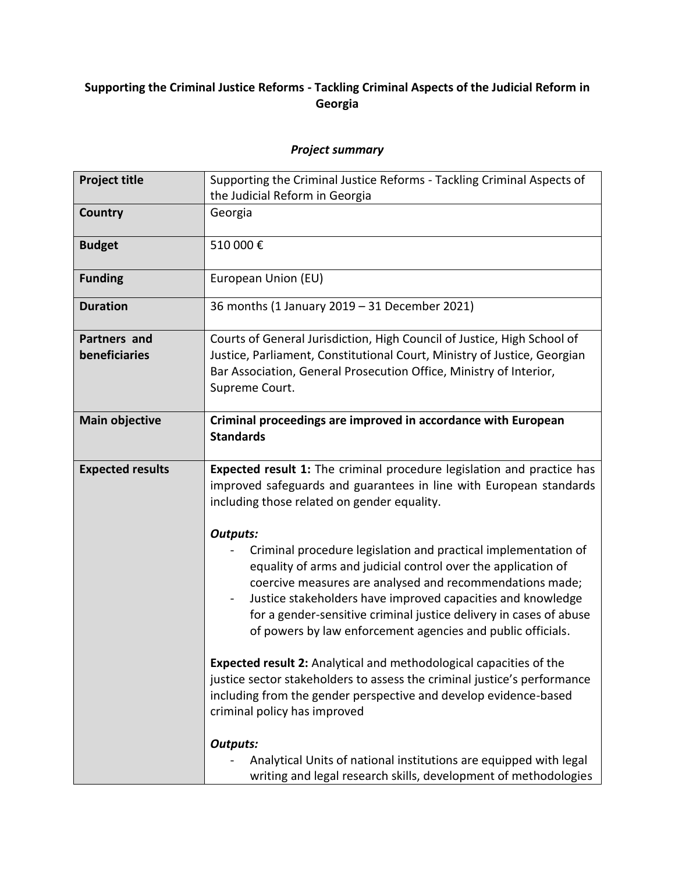## **Supporting the Criminal Justice Reforms - Tackling Criminal Aspects of the Judicial Reform in Georgia**

## *Project summary*

| <b>Project title</b>                 | Supporting the Criminal Justice Reforms - Tackling Criminal Aspects of                                                                                                                                                                                                                                                                                                                                             |
|--------------------------------------|--------------------------------------------------------------------------------------------------------------------------------------------------------------------------------------------------------------------------------------------------------------------------------------------------------------------------------------------------------------------------------------------------------------------|
|                                      | the Judicial Reform in Georgia                                                                                                                                                                                                                                                                                                                                                                                     |
| <b>Country</b>                       | Georgia                                                                                                                                                                                                                                                                                                                                                                                                            |
| <b>Budget</b>                        | 510 000€                                                                                                                                                                                                                                                                                                                                                                                                           |
| <b>Funding</b>                       | European Union (EU)                                                                                                                                                                                                                                                                                                                                                                                                |
| <b>Duration</b>                      | 36 months (1 January 2019 - 31 December 2021)                                                                                                                                                                                                                                                                                                                                                                      |
| <b>Partners and</b><br>beneficiaries | Courts of General Jurisdiction, High Council of Justice, High School of<br>Justice, Parliament, Constitutional Court, Ministry of Justice, Georgian<br>Bar Association, General Prosecution Office, Ministry of Interior,<br>Supreme Court.                                                                                                                                                                        |
| <b>Main objective</b>                | Criminal proceedings are improved in accordance with European<br><b>Standards</b>                                                                                                                                                                                                                                                                                                                                  |
| <b>Expected results</b>              | Expected result 1: The criminal procedure legislation and practice has<br>improved safeguards and guarantees in line with European standards<br>including those related on gender equality.                                                                                                                                                                                                                        |
|                                      | <b>Outputs:</b><br>Criminal procedure legislation and practical implementation of<br>equality of arms and judicial control over the application of<br>coercive measures are analysed and recommendations made;<br>Justice stakeholders have improved capacities and knowledge<br>for a gender-sensitive criminal justice delivery in cases of abuse<br>of powers by law enforcement agencies and public officials. |
|                                      | <b>Expected result 2:</b> Analytical and methodological capacities of the<br>justice sector stakeholders to assess the criminal justice's performance<br>including from the gender perspective and develop evidence-based<br>criminal policy has improved                                                                                                                                                          |
|                                      | <b>Outputs:</b><br>Analytical Units of national institutions are equipped with legal<br>writing and legal research skills, development of methodologies                                                                                                                                                                                                                                                            |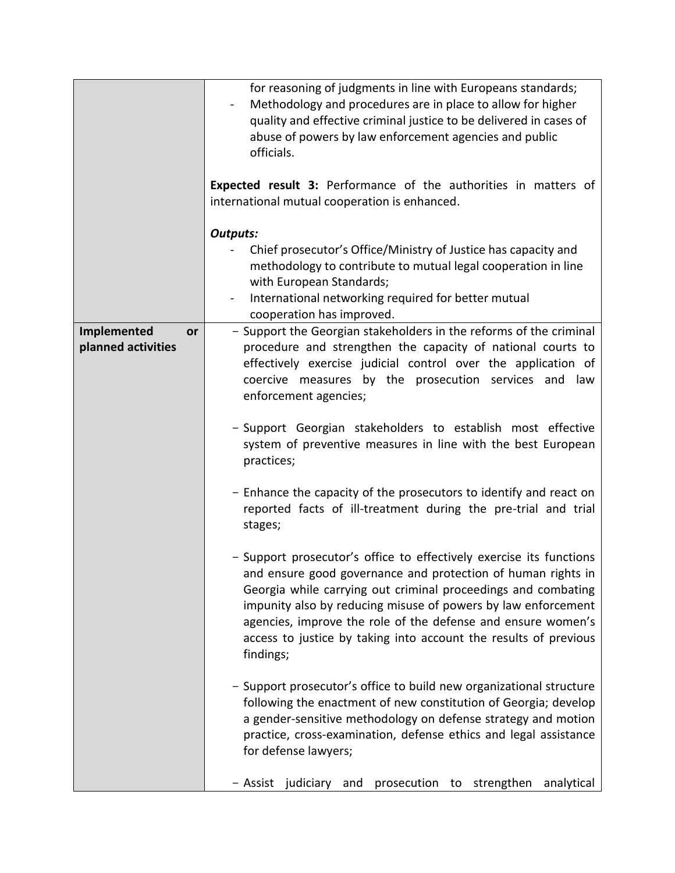|                                                | for reasoning of judgments in line with Europeans standards;<br>Methodology and procedures are in place to allow for higher<br>quality and effective criminal justice to be delivered in cases of<br>abuse of powers by law enforcement agencies and public<br>officials.                                                                                                                                              |
|------------------------------------------------|------------------------------------------------------------------------------------------------------------------------------------------------------------------------------------------------------------------------------------------------------------------------------------------------------------------------------------------------------------------------------------------------------------------------|
|                                                | <b>Expected result 3: Performance of the authorities in matters of</b><br>international mutual cooperation is enhanced.                                                                                                                                                                                                                                                                                                |
|                                                | <b>Outputs:</b><br>Chief prosecutor's Office/Ministry of Justice has capacity and<br>methodology to contribute to mutual legal cooperation in line<br>with European Standards;<br>International networking required for better mutual<br>cooperation has improved.                                                                                                                                                     |
| Implemented<br><b>or</b><br>planned activities | - Support the Georgian stakeholders in the reforms of the criminal<br>procedure and strengthen the capacity of national courts to<br>effectively exercise judicial control over the application of<br>coercive measures by the prosecution services and law<br>enforcement agencies;                                                                                                                                   |
|                                                | - Support Georgian stakeholders to establish most effective<br>system of preventive measures in line with the best European<br>practices;                                                                                                                                                                                                                                                                              |
|                                                | - Enhance the capacity of the prosecutors to identify and react on<br>reported facts of ill-treatment during the pre-trial and trial<br>stages;                                                                                                                                                                                                                                                                        |
|                                                | - Support prosecutor's office to effectively exercise its functions<br>and ensure good governance and protection of human rights in<br>Georgia while carrying out criminal proceedings and combating<br>impunity also by reducing misuse of powers by law enforcement<br>agencies, improve the role of the defense and ensure women's<br>access to justice by taking into account the results of previous<br>findings; |
|                                                | - Support prosecutor's office to build new organizational structure<br>following the enactment of new constitution of Georgia; develop<br>a gender-sensitive methodology on defense strategy and motion<br>practice, cross-examination, defense ethics and legal assistance<br>for defense lawyers;                                                                                                                    |
|                                                | judiciary<br>– Assist<br>prosecution<br>strengthen<br>analytical<br>and<br>to                                                                                                                                                                                                                                                                                                                                          |